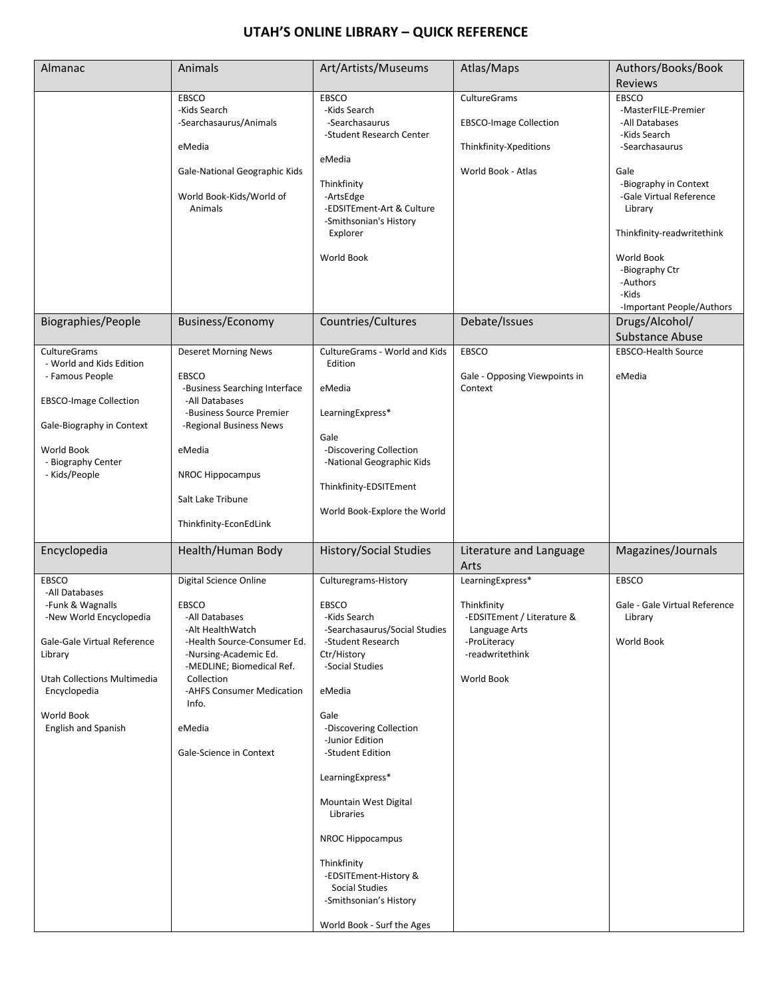## **UTAH'S ONLINE LIBRARY – QUICK REFERENCE**

| Almanac                                     | Animals                                         | Art/Artists/Museums                                  | Atlas/Maps                                  | Authors/Books/Book                  |
|---------------------------------------------|-------------------------------------------------|------------------------------------------------------|---------------------------------------------|-------------------------------------|
|                                             |                                                 |                                                      |                                             | <b>Reviews</b>                      |
|                                             | <b>EBSCO</b><br>-Kids Search                    | <b>EBSCO</b><br>-Kids Search                         | CultureGrams                                | <b>EBSCO</b><br>-MasterFILE-Premier |
|                                             | -Searchasaurus/Animals                          | -Searchasaurus                                       | <b>EBSCO-Image Collection</b>               | -All Databases                      |
|                                             |                                                 | -Student Research Center                             |                                             | -Kids Search                        |
|                                             | eMedia                                          |                                                      | Thinkfinity-Xpeditions                      | -Searchasaurus                      |
|                                             | Gale-National Geographic Kids                   | eMedia                                               | World Book - Atlas                          | Gale                                |
|                                             |                                                 | Thinkfinity                                          |                                             | -Biography in Context               |
|                                             | World Book-Kids/World of                        | -ArtsEdge                                            |                                             | -Gale Virtual Reference             |
|                                             | Animals                                         | -EDSITEment-Art & Culture                            |                                             | Library                             |
|                                             |                                                 | -Smithsonian's History                               |                                             |                                     |
|                                             |                                                 | Explorer                                             |                                             | Thinkfinity-readwritethink          |
|                                             |                                                 | <b>World Book</b>                                    |                                             | World Book                          |
|                                             |                                                 |                                                      |                                             | -Biography Ctr                      |
|                                             |                                                 |                                                      |                                             | -Authors<br>-Kids                   |
|                                             |                                                 |                                                      |                                             | -Important People/Authors           |
| Biographies/People                          | Business/Economy                                | Countries/Cultures                                   | Debate/Issues                               | Drugs/Alcohol/                      |
|                                             |                                                 |                                                      |                                             | <b>Substance Abuse</b>              |
| <b>CultureGrams</b>                         | <b>Deseret Morning News</b>                     | CultureGrams - World and Kids                        | <b>EBSCO</b>                                | <b>EBSCO-Health Source</b>          |
| - World and Kids Edition                    |                                                 | Edition                                              |                                             |                                     |
| - Famous People                             | EBSCO                                           |                                                      | Gale - Opposing Viewpoints in               | eMedia                              |
| <b>EBSCO-Image Collection</b>               | -Business Searching Interface<br>-All Databases | eMedia                                               | Context                                     |                                     |
|                                             | -Business Source Premier                        | LearningExpress*                                     |                                             |                                     |
| Gale-Biography in Context                   | -Regional Business News                         |                                                      |                                             |                                     |
|                                             |                                                 | Gale                                                 |                                             |                                     |
| World Book<br>- Biography Center            | eMedia                                          | -Discovering Collection<br>-National Geographic Kids |                                             |                                     |
| - Kids/People                               | <b>NROC Hippocampus</b>                         |                                                      |                                             |                                     |
|                                             |                                                 | Thinkfinity-EDSITEment                               |                                             |                                     |
|                                             | Salt Lake Tribune                               | World Book-Explore the World                         |                                             |                                     |
|                                             | Thinkfinity-EconEdLink                          |                                                      |                                             |                                     |
|                                             |                                                 |                                                      |                                             |                                     |
| Encyclopedia                                | Health/Human Body                               | <b>History/Social Studies</b>                        | Literature and Language<br>Arts             | Magazines/Journals                  |
| EBSCO                                       | Digital Science Online                          | Culturegrams-History                                 | LearningExpress*                            | <b>EBSCO</b>                        |
| -All Databases                              |                                                 |                                                      |                                             |                                     |
| -Funk & Wagnalls                            | <b>EBSCO</b>                                    | <b>EBSCO</b>                                         | Thinkfinity                                 | Gale - Gale Virtual Reference       |
| -New World Encyclopedia                     | -All Databases<br>-Alt HealthWatch              | -Kids Search<br>-Searchasaurus/Social Studies        | -EDSITEment / Literature &<br>Language Arts | Library                             |
| Gale-Gale Virtual Reference                 | -Health Source-Consumer Ed.                     | -Student Research                                    | -ProLiteracy                                | World Book                          |
| Library                                     | -Nursing-Academic Ed.                           | Ctr/History                                          | -readwritethink                             |                                     |
|                                             | -MEDLINE; Biomedical Ref.                       | -Social Studies                                      |                                             |                                     |
| Utah Collections Multimedia<br>Encyclopedia | Collection<br>-AHFS Consumer Medication         | eMedia                                               | World Book                                  |                                     |
|                                             | Info.                                           |                                                      |                                             |                                     |
| World Book                                  |                                                 | Gale                                                 |                                             |                                     |
| <b>English and Spanish</b>                  | eMedia                                          | -Discovering Collection                              |                                             |                                     |
|                                             | Gale-Science in Context                         | -Junior Edition<br>-Student Edition                  |                                             |                                     |
|                                             |                                                 |                                                      |                                             |                                     |
|                                             |                                                 | LearningExpress*                                     |                                             |                                     |
|                                             |                                                 | Mountain West Digital                                |                                             |                                     |
|                                             |                                                 | Libraries                                            |                                             |                                     |
|                                             |                                                 |                                                      |                                             |                                     |
|                                             |                                                 | <b>NROC Hippocampus</b>                              |                                             |                                     |
|                                             |                                                 | Thinkfinity                                          |                                             |                                     |
|                                             |                                                 | -EDSITEment-History &                                |                                             |                                     |
|                                             |                                                 | <b>Social Studies</b><br>-Smithsonian's History      |                                             |                                     |
|                                             |                                                 |                                                      |                                             |                                     |
|                                             |                                                 | World Book - Surf the Ages                           |                                             |                                     |